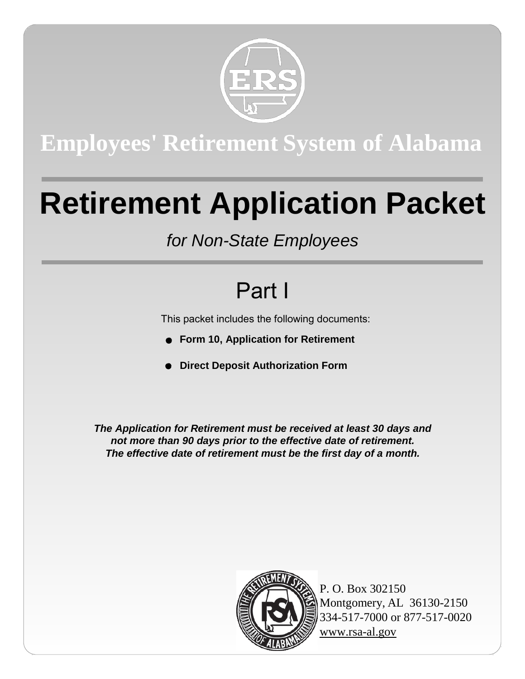

## **Employees' Retirement System of Alabama**

# **Retirement Application Packet**

## *for Non-State Employees*

## Part I

This packet includes the following documents:

- **Form 10, Application for Retirement**
- **Direct Deposit Authorization Form**

*The Application for Retirement must be received at least 30 days and not more than 90 days prior to the effective date of retirement. The effective date of retirement must be the first day of a month.*



P. O. Box 302150 Montgomery, AL 36130-2150 334-517-7000 or 877-517-0020 [www.rsa-al.gov](http://www.rsa-al.gov/)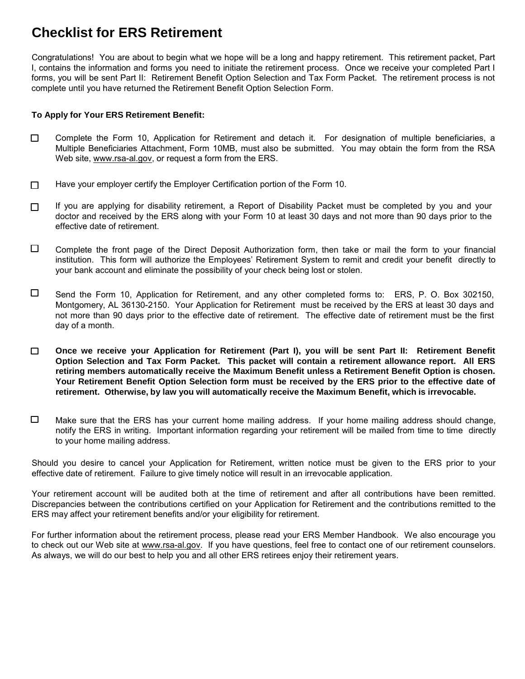### **Checklist for ERS Retirement**

Congratulations! You are about to begin what we hope will be a long and happy retirement. This retirement packet, Part I, contains the information and forms you need to initiate the retirement process. Once we receive your completed Part I forms, you will be sent Part II: Retirement Benefit Option Selection and Tax Form Packet. The retirement process is not complete until you have returned the Retirement Benefit Option Selection Form.

#### **To Apply for Your ERS Retirement Benefit:**

- $\Box$ Complete the Form 10, Application for Retirement and detach it. For designation of multiple beneficiaries, a Multiple Beneficiaries Attachment, Form 10MB, must also be submitted. You may obtain the form from the RSA Web site, [www.rsa-al.gov,](http://www.rsa-al.gov/) or request a form from the ERS.
- Have your employer certify the Employer Certification portion of the Form 10.  $\Box$
- $\Box$ If you are applying for disability retirement, a Report of Disability Packet must be completed by you and your doctor and received by the ERS along with your Form 10 at least 30 days and not more than 90 days prior to the effective date of retirement.
- $\Box$ Complete the front page of the Direct Deposit Authorization form, then take or mail the form to your financial institution. This form will authorize the Employees' Retirement System to remit and credit your benefit directly to your bank account and eliminate the possibility of your check being lost or stolen.
- $\Box$ Send the Form 10, Application for Retirement, and any other completed forms to: ERS, P. O. Box 302150, Montgomery, AL 36130-2150. Your Application for Retirement must be received by the ERS at least 30 days and not more than 90 days prior to the effective date of retirement. The effective date of retirement must be the first day of a month.
- $\Box$ **Once we receive your Application for Retirement (Part I), you will be sent Part II: Retirement Benefit Option Selection and Tax Form Packet. This packet will contain a retirement allowance report. All ERS retiring members automatically receive the Maximum Benefit unless a Retirement Benefit Option is chosen. Your Retirement Benefit Option Selection form must be received by the ERS prior to the effective date of retirement. Otherwise, by law you will automatically receive the Maximum Benefit, which is irrevocable.**
- $\Box$ Make sure that the ERS has your current home mailing address. If your home mailing address should change, notify the ERS in writing. Important information regarding your retirement will be mailed from time to time directly to your home mailing address.

Should you desire to cancel your Application for Retirement, written notice must be given to the ERS prior to your effective date of retirement. Failure to give timely notice will result in an irrevocable application.

Your retirement account will be audited both at the time of retirement and after all contributions have been remitted. Discrepancies between the contributions certified on your Application for Retirement and the contributions remitted to the ERS may affect your retirement benefits and/or your eligibility for retirement.

For further information about the retirement process, please read your ERS Member Handbook. We also encourage you to check out our Web site at [www.rsa-al.gov. I](http://www.rsa-al.gov/)f you have questions, feel free to contact one of our retirement counselors. As always, we will do our best to help you and all other ERS retirees enjoy their retirement years.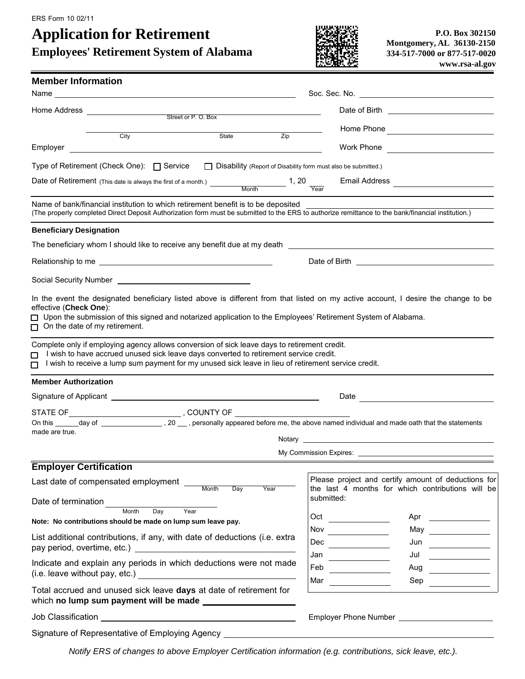ERS Form 10 02/11

## **Application for Retirement**

**Employees' Retirement System of Alabama**



| <b>Member Information</b>                                                                                                                                                                                                                                                                                                                                                                                                                                                                  |                                                                                                                                                                                                                                                                            |  |  |
|--------------------------------------------------------------------------------------------------------------------------------------------------------------------------------------------------------------------------------------------------------------------------------------------------------------------------------------------------------------------------------------------------------------------------------------------------------------------------------------------|----------------------------------------------------------------------------------------------------------------------------------------------------------------------------------------------------------------------------------------------------------------------------|--|--|
| Name <b>Name</b>                                                                                                                                                                                                                                                                                                                                                                                                                                                                           |                                                                                                                                                                                                                                                                            |  |  |
| Home Address <u>_________________</u><br><u> 1980 - Johann Barn, mars an t-Amerikaansk ferskeider (</u>                                                                                                                                                                                                                                                                                                                                                                                    |                                                                                                                                                                                                                                                                            |  |  |
| Street or P.O. Box                                                                                                                                                                                                                                                                                                                                                                                                                                                                         |                                                                                                                                                                                                                                                                            |  |  |
| State<br>City<br>Employer<br><u> 1989 - Andrea Station, amerikansk politiker (d. 1989)</u>                                                                                                                                                                                                                                                                                                                                                                                                 | $\overline{Zip}$<br>Work Phone<br><u> 1980 - Andrea Station Barbara, politik eta provincia eta provincia eta provincia eta provincia eta provincia</u>                                                                                                                     |  |  |
| Type of Retirement (Check One): □ Service                                                                                                                                                                                                                                                                                                                                                                                                                                                  | $\Box$ Disability (Report of Disability form must also be submitted.)                                                                                                                                                                                                      |  |  |
|                                                                                                                                                                                                                                                                                                                                                                                                                                                                                            | Email Address <b>Constanting Constructs</b>                                                                                                                                                                                                                                |  |  |
| Name of bank/financial institution to which retirement benefit is to be deposited<br>Name of bank/financial institution to which retirement benefit is to be deposited<br>(The properly completed Direct Deposit Authorization form must be submitted to the ERS to authorize remittance to the bank/financial institu                                                                                                                                                                     |                                                                                                                                                                                                                                                                            |  |  |
| <b>Beneficiary Designation</b>                                                                                                                                                                                                                                                                                                                                                                                                                                                             |                                                                                                                                                                                                                                                                            |  |  |
| The beneficiary whom I should like to receive any benefit due at my death [198] The beneficiary whom I should like to receive any benefit due at my death [198] The content of the state of the state of the state of the stat                                                                                                                                                                                                                                                             |                                                                                                                                                                                                                                                                            |  |  |
|                                                                                                                                                                                                                                                                                                                                                                                                                                                                                            |                                                                                                                                                                                                                                                                            |  |  |
| Social Security Number<br><u> Social Security Number</u>                                                                                                                                                                                                                                                                                                                                                                                                                                   |                                                                                                                                                                                                                                                                            |  |  |
| effective (Check One):<br>□ Upon the submission of this signed and notarized application to the Employees' Retirement System of Alabama.<br>$\Box$ On the date of my retirement.<br>Complete only if employing agency allows conversion of sick leave days to retirement credit.<br>I wish to have accrued unused sick leave days converted to retirement service credit.<br>$\Box$<br>I wish to receive a lump sum payment for my unused sick leave in lieu of retirement service credit. |                                                                                                                                                                                                                                                                            |  |  |
| <b>Member Authorization</b>                                                                                                                                                                                                                                                                                                                                                                                                                                                                |                                                                                                                                                                                                                                                                            |  |  |
| Signature of Applicant <u>example and the set of Applicant</u>                                                                                                                                                                                                                                                                                                                                                                                                                             | Date<br><u> 1980 - Jan Barbara Barbara, maska karatan da</u>                                                                                                                                                                                                               |  |  |
|                                                                                                                                                                                                                                                                                                                                                                                                                                                                                            |                                                                                                                                                                                                                                                                            |  |  |
| made are true.                                                                                                                                                                                                                                                                                                                                                                                                                                                                             |                                                                                                                                                                                                                                                                            |  |  |
|                                                                                                                                                                                                                                                                                                                                                                                                                                                                                            |                                                                                                                                                                                                                                                                            |  |  |
| <b>Employer Certification</b>                                                                                                                                                                                                                                                                                                                                                                                                                                                              |                                                                                                                                                                                                                                                                            |  |  |
| Last date of compensated employment ___<br>Month<br>Day<br>Year                                                                                                                                                                                                                                                                                                                                                                                                                            | Please project and certify amount of deductions for<br>the last 4 months for which contributions will be                                                                                                                                                                   |  |  |
| Date of termination<br>Day<br>Month<br>Year                                                                                                                                                                                                                                                                                                                                                                                                                                                | submitted:                                                                                                                                                                                                                                                                 |  |  |
| Note: No contributions should be made on lump sum leave pay.                                                                                                                                                                                                                                                                                                                                                                                                                               | Oct                                                                                                                                                                                                                                                                        |  |  |
| List additional contributions, if any, with date of deductions (i.e. extra<br>pay period, overtime, etc.)                                                                                                                                                                                                                                                                                                                                                                                  | Nov $\qquad \qquad$<br>May $\qquad \qquad$<br>Dec $\qquad \qquad$<br>$Jun \qquad \qquad \qquad \qquad \qquad$                                                                                                                                                              |  |  |
| Indicate and explain any periods in which deductions were not made                                                                                                                                                                                                                                                                                                                                                                                                                         | Jan<br>Jul<br><u> 1990 - Jan Barbara Barat, prima populație de la proprietat de la proprietat de la proprietat de la proprietat </u><br>Feb<br>Aug<br><u> 1990 - Jan Jawa Barat, prima prima prima prima prima prima prima prima prima prima prima prima prima prima p</u> |  |  |
| Total accrued and unused sick leave days at date of retirement for<br>which no lump sum payment will be made                                                                                                                                                                                                                                                                                                                                                                               | Mar $\qquad \qquad$<br>$Sep \qquad \qquad \qquad$                                                                                                                                                                                                                          |  |  |
| Job Classification New York Classification                                                                                                                                                                                                                                                                                                                                                                                                                                                 |                                                                                                                                                                                                                                                                            |  |  |
|                                                                                                                                                                                                                                                                                                                                                                                                                                                                                            |                                                                                                                                                                                                                                                                            |  |  |

*Notify ERS of changes to above Employer Certification information (e.g. contributions, sick leave, etc.).*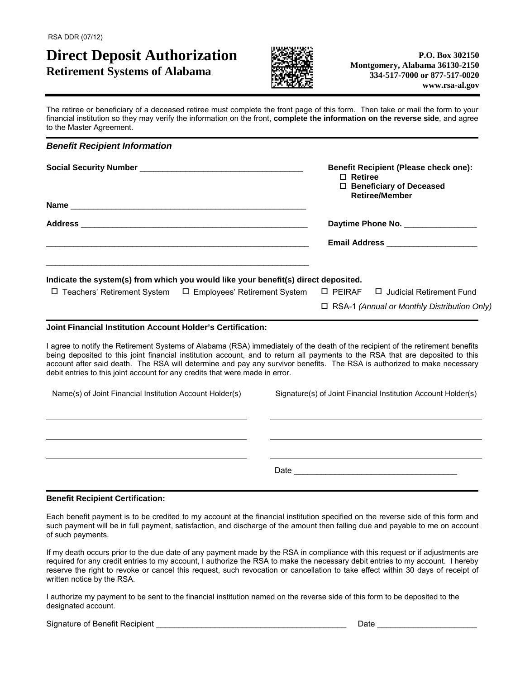### **Direct Deposit Authorization Retirement Systems of Alabama**



The retiree or beneficiary of a deceased retiree must complete the front page of this form. Then take or mail the form to your financial institution so they may verify the information on the front, **complete the information on the reverse side**, and agree to the Master Agreement.

| <b>Benefit Recipient Information</b>                                                                                                                                                                                                                                                                                                                                                                                                                                       |                                                                                                                      |  |
|----------------------------------------------------------------------------------------------------------------------------------------------------------------------------------------------------------------------------------------------------------------------------------------------------------------------------------------------------------------------------------------------------------------------------------------------------------------------------|----------------------------------------------------------------------------------------------------------------------|--|
|                                                                                                                                                                                                                                                                                                                                                                                                                                                                            | <b>Benefit Recipient (Please check one):</b><br>$\Box$ Retiree<br>□ Beneficiary of Deceased<br><b>Retiree/Member</b> |  |
|                                                                                                                                                                                                                                                                                                                                                                                                                                                                            |                                                                                                                      |  |
|                                                                                                                                                                                                                                                                                                                                                                                                                                                                            | Daytime Phone No. _______________                                                                                    |  |
|                                                                                                                                                                                                                                                                                                                                                                                                                                                                            | <b>Email Address Community Community</b>                                                                             |  |
| Indicate the system(s) from which you would like your benefit(s) direct deposited.<br>$\Box$ Teachers' Retirement System $\Box$ Employees' Retirement System                                                                                                                                                                                                                                                                                                               | $\square$ PEIRAF<br>□ Judicial Retirement Fund                                                                       |  |
|                                                                                                                                                                                                                                                                                                                                                                                                                                                                            | □ RSA-1 (Annual or Monthly Distribution Only)                                                                        |  |
| <b>Joint Financial Institution Account Holder's Certification:</b>                                                                                                                                                                                                                                                                                                                                                                                                         |                                                                                                                      |  |
| I agree to notify the Retirement Systems of Alabama (RSA) immediately of the death of the recipient of the retirement benefits<br>being deposited to this joint financial institution account, and to return all payments to the RSA that are deposited to this<br>account after said death. The RSA will determine and pay any survivor benefits. The RSA is authorized to make necessary<br>debit entries to this joint account for any credits that were made in error. |                                                                                                                      |  |
| Name(s) of Joint Financial Institution Account Holder(s)                                                                                                                                                                                                                                                                                                                                                                                                                   | Signature(s) of Joint Financial Institution Account Holder(s)                                                        |  |
|                                                                                                                                                                                                                                                                                                                                                                                                                                                                            |                                                                                                                      |  |
|                                                                                                                                                                                                                                                                                                                                                                                                                                                                            |                                                                                                                      |  |
|                                                                                                                                                                                                                                                                                                                                                                                                                                                                            |                                                                                                                      |  |

#### **Benefit Recipient Certification:**

Each benefit payment is to be credited to my account at the financial institution specified on the reverse side of this form and such payment will be in full payment, satisfaction, and discharge of the amount then falling due and payable to me on account of such payments.

If my death occurs prior to the due date of any payment made by the RSA in compliance with this request or if adjustments are required for any credit entries to my account, I authorize the RSA to make the necessary debit entries to my account. I hereby reserve the right to revoke or cancel this request, such revocation or cancellation to take effect within 30 days of receipt of written notice by the RSA.

I authorize my payment to be sent to the financial institution named on the reverse side of this form to be deposited to the designated account.

Signature of Benefit Recipient \_\_\_\_\_\_\_\_\_\_\_\_\_\_\_\_\_\_\_\_\_\_\_\_\_\_\_\_\_\_\_\_\_\_\_\_\_\_\_\_\_\_ Date \_\_\_\_\_\_\_\_\_\_\_\_\_\_\_\_\_\_\_\_\_\_